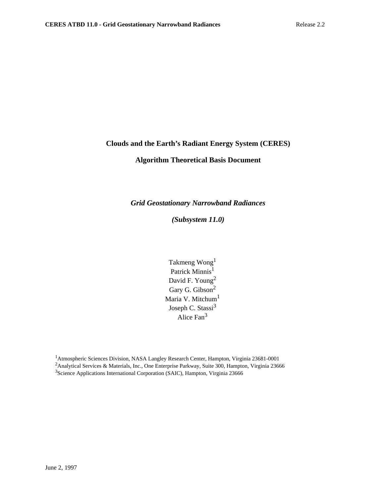# **Clouds and the Earth's Radiant Energy System (CERES)**

# **Algorithm Theoretical Basis Document**

*Grid Geostationary Narrowband Radiances*

*(Subsystem 11.0)*

Takmeng Wong1 Patrick Minnis<sup>1</sup> David F. Young<sup>2</sup> Gary G. Gibson<sup>2</sup> Maria V. Mitchum<sup>1</sup> Joseph C. Stassi<sup>3</sup> Alice Fan<sup>3</sup>

1Atmospheric Sciences Division, NASA Langley Research Center, Hampton, Virginia 23681-0001 <sup>2</sup>Analytical Services & Materials, Inc., One Enterprise Parkway, Suite 300, Hampton, Virginia 23666 3Science Applications International Corporation (SAIC), Hampton, Virginia 23666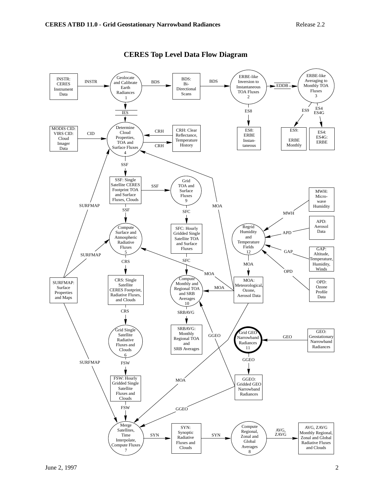

# **CERES Top Level Data Flow Diagram**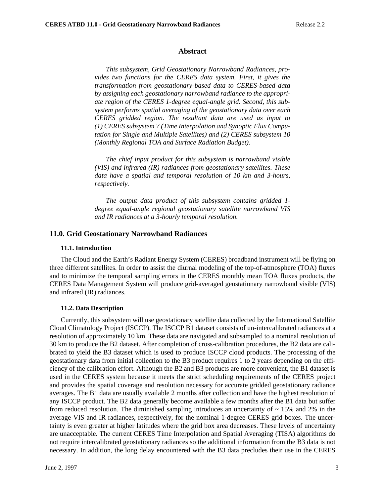#### **Abstract**

*This subsystem, Grid Geostationary Narrowband Radiances, provides two functions for the CERES data system. First, it gives the transformation from geostationary-based data to CERES-based data by assigning each geostationary narrowband radiance to the appropriate region of the CERES 1-degree equal-angle grid. Second, this subsystem performs spatial averaging of the geostationary data over each CERES gridded region. The resultant data are used as input to (1) CERES subsystem 7 (Time Interpolation and Synoptic Flux Computation for Single and Multiple Satellites) and (2) CERES subsystem 10 (Monthly Regional TOA and Surface Radiation Budget).*

*The chief input product for this subsystem is narrowband visible (VIS) and infrared (IR) radiances from geostationary satellites. These data have a spatial and temporal resolution of 10 km and 3-hours, respectively.*

*The output data product of this subsystem contains gridded 1 degree equal-angle regional geostationary satellite narrowband VIS and IR radiances at a 3-hourly temporal resolution.*

#### **11.0. Grid Geostationary Narrowband Radiances**

#### **11.1. Introduction**

The Cloud and the Earth's Radiant Energy System (CERES) broadband instrument will be flying on three different satellites. In order to assist the diurnal modeling of the top-of-atmosphere (TOA) fluxes and to minimize the temporal sampling errors in the CERES monthly mean TOA fluxes products, the CERES Data Management System will produce grid-averaged geostationary narrowband visible (VIS) and infrared (IR) radiances.

#### **11.2. Data Description**

Currently, this subsystem will use geostationary satellite data collected by the International Satellite Cloud Climatology Project (ISCCP). The ISCCP B1 dataset consists of un-intercalibrated radiances at a resolution of approximately 10 km. These data are navigated and subsampled to a nominal resolution of 30 km to produce the B2 dataset. After completion of cross-calibration procedures, the B2 data are calibrated to yield the B3 dataset which is used to produce ISCCP cloud products. The processing of the geostationary data from initial collection to the B3 product requires 1 to 2 years depending on the efficiency of the calibration effort. Although the B2 and B3 products are more convenient, the B1 dataset is used in the CERES system because it meets the strict scheduling requirements of the CERES project and provides the spatial coverage and resolution necessary for accurate gridded geostationary radiance averages. The B1 data are usually available 2 months after collection and have the highest resolution of any ISCCP product. The B2 data generally become available a few months after the B1 data but suffer from reduced resolution. The diminished sampling introduces an uncertainty of  $\sim$  15% and 2% in the average VIS and IR radiances, respectively, for the nominal 1-degree CERES grid boxes. The uncertainty is even greater at higher latitudes where the grid box area decreases. These levels of uncertainty are unacceptable. The current CERES Time Interpolation and Spatial Averaging (TISA) algorithms do not require intercalibrated geostationary radiances so the additional information from the B3 data is not necessary. In addition, the long delay encountered with the B3 data precludes their use in the CERES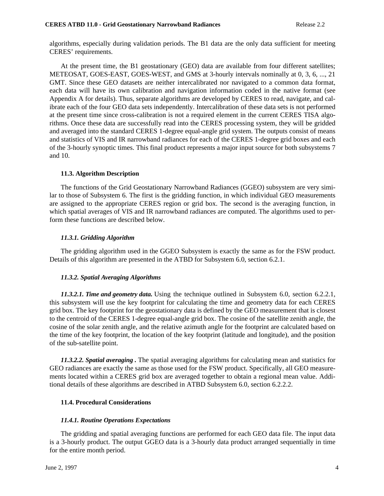algorithms, especially during validation periods. The B1 data are the only data sufficient for meeting CERES' requirements.

At the present time, the B1 geostationary (GEO) data are available from four different satellites; METEOSAT, GOES-EAST, GOES-WEST, and GMS at 3-hourly intervals nominally at 0, 3, 6, ..., 21 GMT. Since these GEO datasets are neither intercalibrated nor navigated to a common data format, each data will have its own calibration and navigation information coded in the native format (see Appendix A for details). Thus, separate algorithms are developed by CERES to read, navigate, and calibrate each of the four GEO data sets independently. Intercalibration of these data sets is not performed at the present time since cross-calibration is not a required element in the current CERES TISA algorithms. Once these data are successfully read into the CERES processing system, they will be gridded and averaged into the standard CERES 1-degree equal-angle grid system. The outputs consist of means and statistics of VIS and IR narrowband radiances for each of the CERES 1-degree grid boxes and each of the 3-hourly synoptic times. This final product represents a major input source for both subsystems 7 and 10.

# **11.3. Algorithm Description**

The functions of the Grid Geostationary Narrowband Radiances (GGEO) subsystem are very similar to those of Subsystem 6. The first is the gridding function, in which individual GEO measurements are assigned to the appropriate CERES region or grid box. The second is the averaging function, in which spatial averages of VIS and IR narrowband radiances are computed. The algorithms used to perform these functions are described below.

# *11.3.1. Gridding Algorithm*

The gridding algorithm used in the GGEO Subsystem is exactly the same as for the FSW product. Details of this algorithm are presented in the ATBD for Subsystem 6.0, section 6.2.1.

#### *11.3.2. Spatial Averaging Algorithms*

*11.3.2.1. Time and geometry data.* Using the technique outlined in Subsystem 6.0, section 6.2.2.1, this subsystem will use the key footprint for calculating the time and geometry data for each CERES grid box. The key footprint for the geostationary data is defined by the GEO measurement that is closest to the centroid of the CERES 1-degree equal-angle grid box. The cosine of the satellite zenith angle, the cosine of the solar zenith angle, and the relative azimuth angle for the footprint are calculated based on the time of the key footprint, the location of the key footprint (latitude and longitude), and the position of the sub-satellite point.

*11.3.2.2. Spatial averaging .* The spatial averaging algorithms for calculating mean and statistics for GEO radiances are exactly the same as those used for the FSW product. Specifically, all GEO measurements located within a CERES grid box are averaged together to obtain a regional mean value. Additional details of these algorithms are described in ATBD Subsystem 6.0, section 6.2.2.2.

# **11.4. Procedural Considerations**

#### *11.4.1. Routine Operations Expectations*

The gridding and spatial averaging functions are performed for each GEO data file. The input data is a 3-hourly product. The output GGEO data is a 3-hourly data product arranged sequentially in time for the entire month period.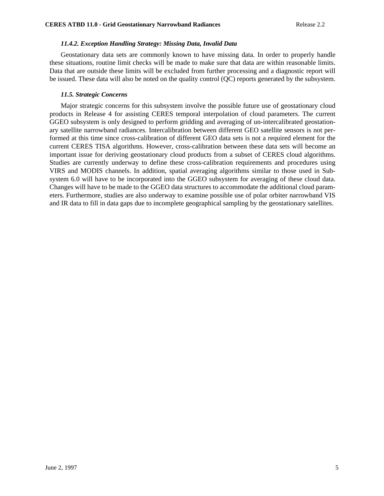### *11.4.2. Exception Handling Strategy: Missing Data, Invalid Data*

Geostationary data sets are commonly known to have missing data. In order to properly handle these situations, routine limit checks will be made to make sure that data are within reasonable limits. Data that are outside these limits will be excluded from further processing and a diagnostic report will be issued. These data will also be noted on the quality control (QC) reports generated by the subsystem.

### *11.5. Strategic Concerns*

Major strategic concerns for this subsystem involve the possible future use of geostationary cloud products in Release 4 for assisting CERES temporal interpolation of cloud parameters. The current GGEO subsystem is only designed to perform gridding and averaging of un-intercalibrated geostationary satellite narrowband radiances. Intercalibration between different GEO satellite sensors is not performed at this time since cross-calibration of different GEO data sets is not a required element for the current CERES TISA algorithms. However, cross-calibration between these data sets will become an important issue for deriving geostationary cloud products from a subset of CERES cloud algorithms. Studies are currently underway to define these cross-calibration requirements and procedures using VIRS and MODIS channels. In addition, spatial averaging algorithms similar to those used in Subsystem 6.0 will have to be incorporated into the GGEO subsystem for averaging of these cloud data. Changes will have to be made to the GGEO data structures to accommodate the additional cloud parameters. Furthermore, studies are also underway to examine possible use of polar orbiter narrowband VIS and IR data to fill in data gaps due to incomplete geographical sampling by the geostationary satellites.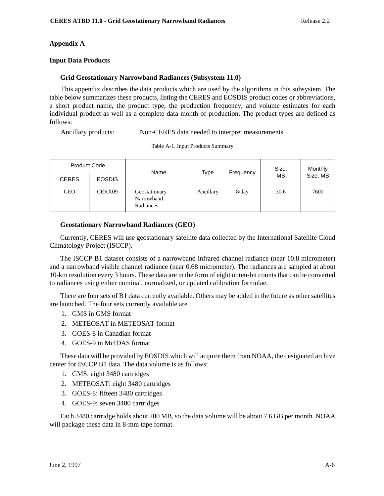# **Appendix A**

# **Input Data Products**

### **Grid Geostationary Narrowband Radiances (Subsystem 11.0)**

This appendix describes the data products which are used by the algorithms in this subsystem. The table below summarizes these products, listing the CERES and EOSDIS product codes or abbreviations, a short product name, the product type, the production frequency, and volume estimates for each individual product as well as a complete data month of production. The product types are defined as follows:

Ancillary products: Non-CERES data needed to interpret measurements

| <b>Product Code</b> |               | Name                                     | Type      | Frequency | Size, | Monthly  |
|---------------------|---------------|------------------------------------------|-----------|-----------|-------|----------|
| <b>CERES</b>        | <b>EOSDIS</b> |                                          |           |           | MB    | Size, MB |
| <b>GEO</b>          | CERX09        | Geostationary<br>Narrowband<br>Radiances | Ancillary | $8$ /day  | 30.6  | 7600     |

#### Table A-1. Input Products Summary

#### **Geostationary Narrowband Radiances (GEO)**

Currently, CERES will use geostationary satellite data collected by the International Satellite Cloud Climatology Project (ISCCP).

The ISCCP B1 dataset consists of a narrowband infrared channel radiance (near 10.8 micrometer) and a narrowband visible channel radiance (near 0.68 micrometer). The radiances are sampled at about 10-km resolution every 3 hours. These data are in the form of eight or ten-bit counts that can be converted to radiances using either nominal, normalized, or updated calibration formulae.

There are four sets of B1 data currently available. Others may be added in the future as other satellites are launched. The four sets currently available are

- 1. GMS in GMS format
- 2. METEOSAT in METEOSAT format
- 3. GOES-8 in Canadian format
- 4. GOES-9 in McIDAS format

These data will be provided by EOSDIS which will acquire them from NOAA, the designated archive center for ISCCP B1 data. The data volume is as follows:

- 1. GMS: eight 3480 cartridges
- 2. METEOSAT: eight 3480 cartridges
- 3. GOES-8: fifteen 3480 cartridges
- 4. GOES-9: seven 3480 cartridges

Each 3480 cartridge holds about 200 MB, so the data volume will be about 7.6 GB per month. NOAA will package these data in 8-mm tape format.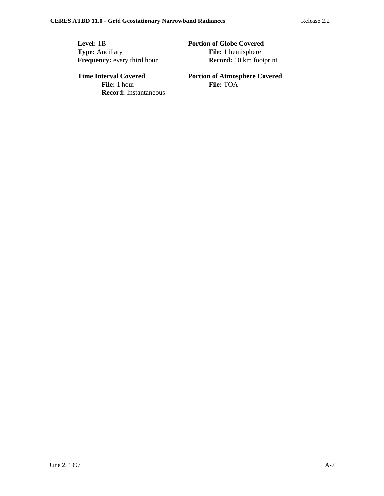**Level:** 1B **Portion of Globe Covered**<br> **Portion of Globe Covered**<br> **File:** 1 hemisphere **Frequency:** every third hour

**File:** 1 hemisphere<br>**Record:** 10 km footprint

**File:** 1 hour **Record:** Instantaneous

**Time Interval Covered Portion of Atmosphere Covered**<br>File: 1 hour **Portion of Atmosphere Covered**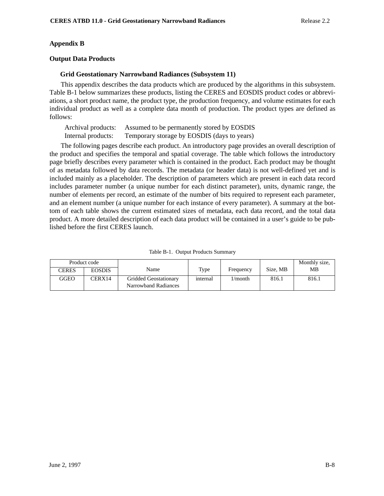### **Appendix B**

#### **Output Data Products**

### **Grid Geostationary Narrowband Radiances (Subsystem 11)**

This appendix describes the data products which are produced by the algorithms in this subsystem. Table B-1 below summarizes these products, listing the CERES and EOSDIS product codes or abbreviations, a short product name, the product type, the production frequency, and volume estimates for each individual product as well as a complete data month of production. The product types are defined as follows:

Archival products: Assumed to be permanently stored by EOSDIS Internal products: Temporary storage by EOSDIS (days to years)

The following pages describe each product. An introductory page provides an overall description of the product and specifies the temporal and spatial coverage. The table which follows the introductory page briefly describes every parameter which is contained in the product. Each product may be thought of as metadata followed by data records. The metadata (or header data) is not well-defined yet and is included mainly as a placeholder. The description of parameters which are present in each data record includes parameter number (a unique number for each distinct parameter), units, dynamic range, the number of elements per record, an estimate of the number of bits required to represent each parameter, and an element number (a unique number for each instance of every parameter). A summary at the bottom of each table shows the current estimated sizes of metadata, each data record, and the total data product. A more detailed description of each data product will be contained in a user's guide to be published before the first CERES launch.

| Product code |               |                                                      |          |            |          | Monthly size, |
|--------------|---------------|------------------------------------------------------|----------|------------|----------|---------------|
| <b>CERES</b> | <b>EOSDIS</b> | Name                                                 | Type     | Frequency  | Size, MB | MB            |
| GGEO         | CERX14        | <b>Gridded Geostationary</b><br>Narrowband Radiances | internal | $1/m$ onth | 816.1    | 816.1         |

Table B-1. Output Products Summary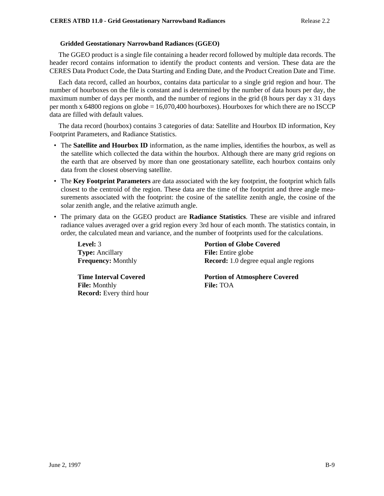### **Gridded Geostationary Narrowband Radiances (GGEO)**

The GGEO product is a single file containing a header record followed by multiple data records. The header record contains information to identify the product contents and version. These data are the CERES Data Product Code, the Data Starting and Ending Date, and the Product Creation Date and Time.

Each data record, called an hourbox, contains data particular to a single grid region and hour. The number of hourboxes on the file is constant and is determined by the number of data hours per day, the maximum number of days per month, and the number of regions in the grid (8 hours per day x 31 days per month x 64800 regions on globe = 16,070,400 hourboxes). Hourboxes for which there are no ISCCP data are filled with default values.

The data record (hourbox) contains 3 categories of data: Satellite and Hourbox ID information, Key Footprint Parameters, and Radiance Statistics.

- The **Satellite and Hourbox ID** information, as the name implies, identifies the hourbox, as well as the satellite which collected the data within the hourbox. Although there are many grid regions on the earth that are observed by more than one geostationary satellite, each hourbox contains only data from the closest observing satellite.
- The **Key Footprint Parameters** are data associated with the key footprint, the footprint which falls closest to the centroid of the region. These data are the time of the footprint and three angle measurements associated with the footprint: the cosine of the satellite zenith angle, the cosine of the solar zenith angle, and the relative azimuth angle.
- The primary data on the GGEO product are **Radiance Statistics**. These are visible and infrared radiance values averaged over a grid region every 3rd hour of each month. The statistics contain, in order, the calculated mean and variance, and the number of footprints used for the calculations.

| Level: 3                                                                                | <b>Portion of Globe Covered</b>                          |
|-----------------------------------------------------------------------------------------|----------------------------------------------------------|
| <b>Type:</b> Ancillary                                                                  | <b>File:</b> Entire globe                                |
| <b>Frequency: Monthly</b>                                                               | <b>Record:</b> 1.0 degree equal angle regions            |
| <b>Time Interval Covered</b><br><b>File:</b> Monthly<br><b>Record:</b> Every third hour | <b>Portion of Atmosphere Covered</b><br><b>File: TOA</b> |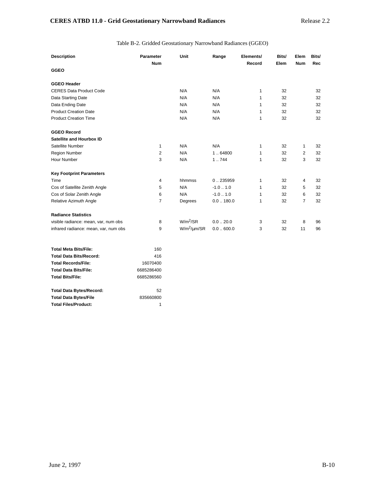### Table B-2. Gridded Geostationary Narrowband Radiances (GGEO)

| <b>Description</b>                    | <b>Parameter</b><br><b>Num</b> | Unit                 | Range               | Elements/<br>Record | Bits/<br>Elem | Elem<br><b>Num</b> | Bits/<br><b>Rec</b> |
|---------------------------------------|--------------------------------|----------------------|---------------------|---------------------|---------------|--------------------|---------------------|
| <b>GGEO</b>                           |                                |                      |                     |                     |               |                    |                     |
| <b>GGEO Header</b>                    |                                |                      |                     |                     |               |                    |                     |
| <b>CERES Data Product Code</b>        |                                | N/A                  | N/A                 | 1                   | 32            |                    | 32                  |
| Data Starting Date                    |                                | N/A                  | N/A                 | 1                   | 32            |                    | 32                  |
| Data Ending Date                      |                                | N/A                  | N/A                 | 1                   | 32            |                    | 32                  |
| <b>Product Creation Date</b>          |                                | N/A                  | N/A                 | 1                   | 32            |                    | 32                  |
| <b>Product Creation Time</b>          |                                | N/A                  | N/A                 | 1                   | 32            |                    | 32                  |
| <b>GGEO Record</b>                    |                                |                      |                     |                     |               |                    |                     |
| Satellite and Hourbox ID              |                                |                      |                     |                     |               |                    |                     |
| Satellite Number                      | 1                              | N/A                  | N/A                 | $\mathbf{1}$        | 32            | $\mathbf{1}$       | 32                  |
| <b>Region Number</b>                  | $\overline{2}$                 | N/A                  | 1.64800             | 1                   | 32            | 2                  | 32                  |
| Hour Number                           | 3                              | N/A                  | 1.744               | 1                   | 32            | 3                  | 32                  |
| <b>Key Footprint Parameters</b>       |                                |                      |                     |                     |               |                    |                     |
| Time                                  | 4                              | hhmmss               | 0.235959            | 1                   | 32            | 4                  | 32                  |
| Cos of Satellite Zenith Angle         | 5                              | N/A                  | $-1.0$ $\dots$ 1.0  | 1                   | 32            | 5                  | 32                  |
| Cos of Solar Zenith Angle             | 6                              | N/A                  | $-1.0$ $\dots$ 1.0  | 1                   | 32            | 6                  | 32                  |
| Relative Azimuth Angle                | 7                              | Degrees              | 0.0180.0            | 1                   | 32            | $\overline{7}$     | 32                  |
| <b>Radiance Statistics</b>            |                                |                      |                     |                     |               |                    |                     |
| visible radiance: mean, var, num obs  | 8                              | $W/m^2/SR$           | $0.0$ $\ldots$ 20.0 | 3                   | 32            | 8                  | 96                  |
| infrared radiance: mean, var, num obs | 9                              | $W/m^2$ / $\mu$ m/SR | 0.0600.0            | 3                   | 32            | 11                 | 96                  |

| <b>Total Meta Bits/File:</b>    | 160        |
|---------------------------------|------------|
| <b>Total Data Bits/Record:</b>  | 416        |
| <b>Total Records/File:</b>      | 16070400   |
| <b>Total Data Bits/File:</b>    | 6685286400 |
| <b>Total Bits/File:</b>         | 6685286560 |
| <b>Total Data Bytes/Record:</b> | 52         |
| <b>Total Data Bytes/File</b>    | 835660800  |
| <b>Total Files/Product:</b>     |            |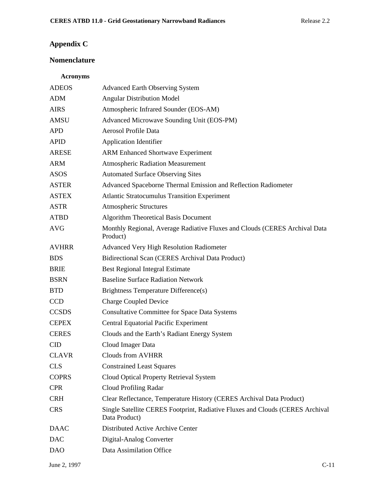# **Appendix C**

# **Nomenclature**

# **Acronyms**

| <b>ADEOS</b> | <b>Advanced Earth Observing System</b>                                                         |
|--------------|------------------------------------------------------------------------------------------------|
| <b>ADM</b>   | <b>Angular Distribution Model</b>                                                              |
| <b>AIRS</b>  | Atmospheric Infrared Sounder (EOS-AM)                                                          |
| AMSU         | Advanced Microwave Sounding Unit (EOS-PM)                                                      |
| <b>APD</b>   | <b>Aerosol Profile Data</b>                                                                    |
| <b>APID</b>  | <b>Application Identifier</b>                                                                  |
| <b>ARESE</b> | <b>ARM Enhanced Shortwave Experiment</b>                                                       |
| <b>ARM</b>   | <b>Atmospheric Radiation Measurement</b>                                                       |
| <b>ASOS</b>  | <b>Automated Surface Observing Sites</b>                                                       |
| <b>ASTER</b> | Advanced Spaceborne Thermal Emission and Reflection Radiometer                                 |
| <b>ASTEX</b> | <b>Atlantic Stratocumulus Transition Experiment</b>                                            |
| <b>ASTR</b>  | <b>Atmospheric Structures</b>                                                                  |
| <b>ATBD</b>  | <b>Algorithm Theoretical Basis Document</b>                                                    |
| <b>AVG</b>   | Monthly Regional, Average Radiative Fluxes and Clouds (CERES Archival Data<br>Product)         |
| <b>AVHRR</b> | <b>Advanced Very High Resolution Radiometer</b>                                                |
| <b>BDS</b>   | <b>Bidirectional Scan (CERES Archival Data Product)</b>                                        |
| <b>BRIE</b>  | <b>Best Regional Integral Estimate</b>                                                         |
| <b>BSRN</b>  | <b>Baseline Surface Radiation Network</b>                                                      |
| <b>BTD</b>   | <b>Brightness Temperature Difference(s)</b>                                                    |
| <b>CCD</b>   | <b>Charge Coupled Device</b>                                                                   |
| <b>CCSDS</b> | <b>Consultative Committee for Space Data Systems</b>                                           |
| <b>CEPEX</b> | <b>Central Equatorial Pacific Experiment</b>                                                   |
| <b>CERES</b> | Clouds and the Earth's Radiant Energy System                                                   |
| <b>CID</b>   | Cloud Imager Data                                                                              |
| <b>CLAVR</b> | <b>Clouds from AVHRR</b>                                                                       |
| <b>CLS</b>   | <b>Constrained Least Squares</b>                                                               |
| <b>COPRS</b> | Cloud Optical Property Retrieval System                                                        |
| <b>CPR</b>   | <b>Cloud Profiling Radar</b>                                                                   |
| <b>CRH</b>   | Clear Reflectance, Temperature History (CERES Archival Data Product)                           |
| <b>CRS</b>   | Single Satellite CERES Footprint, Radiative Fluxes and Clouds (CERES Archival<br>Data Product) |
| <b>DAAC</b>  | Distributed Active Archive Center                                                              |
| <b>DAC</b>   | Digital-Analog Converter                                                                       |
| <b>DAO</b>   | Data Assimilation Office                                                                       |
|              |                                                                                                |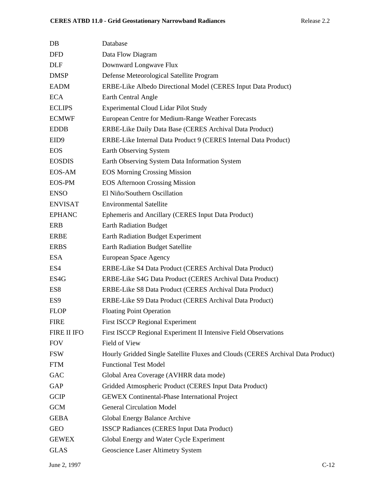| $DB$             | Database                                                                        |
|------------------|---------------------------------------------------------------------------------|
| <b>DFD</b>       | Data Flow Diagram                                                               |
| <b>DLF</b>       | Downward Longwave Flux                                                          |
| <b>DMSP</b>      | Defense Meteorological Satellite Program                                        |
| <b>EADM</b>      | ERBE-Like Albedo Directional Model (CERES Input Data Product)                   |
| <b>ECA</b>       | Earth Central Angle                                                             |
| <b>ECLIPS</b>    | <b>Experimental Cloud Lidar Pilot Study</b>                                     |
| <b>ECMWF</b>     | European Centre for Medium-Range Weather Forecasts                              |
| <b>EDDB</b>      | ERBE-Like Daily Data Base (CERES Archival Data Product)                         |
| EID <sub>9</sub> | ERBE-Like Internal Data Product 9 (CERES Internal Data Product)                 |
| <b>EOS</b>       | Earth Observing System                                                          |
| <b>EOSDIS</b>    | Earth Observing System Data Information System                                  |
| <b>EOS-AM</b>    | <b>EOS Morning Crossing Mission</b>                                             |
| <b>EOS-PM</b>    | <b>EOS Afternoon Crossing Mission</b>                                           |
| <b>ENSO</b>      | El Niño/Southern Oscillation                                                    |
| <b>ENVISAT</b>   | <b>Environmental Satellite</b>                                                  |
| <b>EPHANC</b>    | Ephemeris and Ancillary (CERES Input Data Product)                              |
| <b>ERB</b>       | <b>Earth Radiation Budget</b>                                                   |
| <b>ERBE</b>      | <b>Earth Radiation Budget Experiment</b>                                        |
| <b>ERBS</b>      | <b>Earth Radiation Budget Satellite</b>                                         |
| <b>ESA</b>       | European Space Agency                                                           |
| ES4              | ERBE-Like S4 Data Product (CERES Archival Data Product)                         |
| ES4G             | ERBE-Like S4G Data Product (CERES Archival Data Product)                        |
| ES8              | ERBE-Like S8 Data Product (CERES Archival Data Product)                         |
| ES <sub>9</sub>  | ERBE-Like S9 Data Product (CERES Archival Data Product)                         |
| <b>FLOP</b>      | <b>Floating Point Operation</b>                                                 |
| <b>FIRE</b>      | <b>First ISCCP Regional Experiment</b>                                          |
| FIRE II IFO      | First ISCCP Regional Experiment II Intensive Field Observations                 |
| <b>FOV</b>       | Field of View                                                                   |
| <b>FSW</b>       | Hourly Gridded Single Satellite Fluxes and Clouds (CERES Archival Data Product) |
| <b>FTM</b>       | <b>Functional Test Model</b>                                                    |
| GAC              | Global Area Coverage (AVHRR data mode)                                          |
| GAP              | Gridded Atmospheric Product (CERES Input Data Product)                          |
| <b>GCIP</b>      | <b>GEWEX Continental-Phase International Project</b>                            |
| <b>GCM</b>       | <b>General Circulation Model</b>                                                |
| <b>GEBA</b>      | Global Energy Balance Archive                                                   |
| <b>GEO</b>       | <b>ISSCP Radiances (CERES Input Data Product)</b>                               |
| <b>GEWEX</b>     | Global Energy and Water Cycle Experiment                                        |
| <b>GLAS</b>      | Geoscience Laser Altimetry System                                               |
|                  |                                                                                 |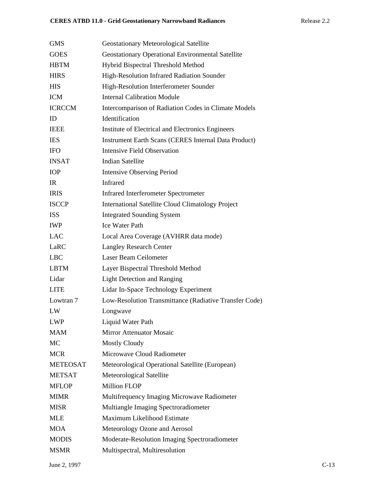| <b>GMS</b>      | <b>Geostationary Meteorological Satellite</b>               |
|-----------------|-------------------------------------------------------------|
| <b>GOES</b>     | Geostationary Operational Environmental Satellite           |
| <b>HBTM</b>     | Hybrid Bispectral Threshold Method                          |
| <b>HIRS</b>     | High-Resolution Infrared Radiation Sounder                  |
| <b>HIS</b>      | High-Resolution Interferometer Sounder                      |
| <b>ICM</b>      | <b>Internal Calibration Module</b>                          |
| <b>ICRCCM</b>   | Intercomparison of Radiation Codes in Climate Models        |
| ID              | Identification                                              |
| <b>IEEE</b>     | Institute of Electrical and Electronics Engineers           |
| <b>IES</b>      | <b>Instrument Earth Scans (CERES Internal Data Product)</b> |
| <b>IFO</b>      | <b>Intensive Field Observation</b>                          |
| <b>INSAT</b>    | <b>Indian Satellite</b>                                     |
| <b>IOP</b>      | <b>Intensive Observing Period</b>                           |
| IR              | <b>Infrared</b>                                             |
| <b>IRIS</b>     | <b>Infrared Interferometer Spectrometer</b>                 |
| <b>ISCCP</b>    | <b>International Satellite Cloud Climatology Project</b>    |
| <b>ISS</b>      | <b>Integrated Sounding System</b>                           |
| <b>IWP</b>      | <b>Ice Water Path</b>                                       |
| <b>LAC</b>      | Local Area Coverage (AVHRR data mode)                       |
| LaRC            | <b>Langley Research Center</b>                              |
| <b>LBC</b>      | Laser Beam Ceilometer                                       |
| <b>LBTM</b>     | Layer Bispectral Threshold Method                           |
| Lidar           | <b>Light Detection and Ranging</b>                          |
| <b>LITE</b>     | Lidar In-Space Technology Experiment                        |
| Lowtran 7       | Low-Resolution Transmittance (Radiative Transfer Code)      |
| LW              | Longwave                                                    |
| <b>LWP</b>      | Liquid Water Path                                           |
| <b>MAM</b>      | <b>Mirror Attenuator Mosaic</b>                             |
| MC              | <b>Mostly Cloudy</b>                                        |
| <b>MCR</b>      | Microwave Cloud Radiometer                                  |
| <b>METEOSAT</b> | Meteorological Operational Satellite (European)             |
| <b>METSAT</b>   | Meteorological Satellite                                    |
| <b>MFLOP</b>    | <b>Million FLOP</b>                                         |
| <b>MIMR</b>     | Multifrequency Imaging Microwave Radiometer                 |
| <b>MISR</b>     | Multiangle Imaging Spectroradiometer                        |
| <b>MLE</b>      | Maximum Likelihood Estimate                                 |
| <b>MOA</b>      | Meteorology Ozone and Aerosol                               |
| <b>MODIS</b>    | Moderate-Resolution Imaging Spectroradiometer               |
| <b>MSMR</b>     | Multispectral, Multiresolution                              |
|                 |                                                             |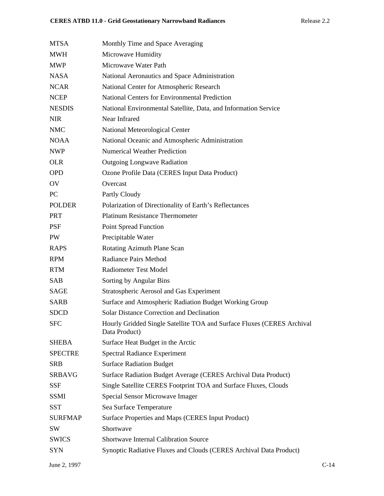| <b>MTSA</b>    | Monthly Time and Space Averaging                                                        |
|----------------|-----------------------------------------------------------------------------------------|
| <b>MWH</b>     | Microwave Humidity                                                                      |
| <b>MWP</b>     | Microwave Water Path                                                                    |
| <b>NASA</b>    | National Aeronautics and Space Administration                                           |
| <b>NCAR</b>    | National Center for Atmospheric Research                                                |
| <b>NCEP</b>    | <b>National Centers for Environmental Prediction</b>                                    |
| <b>NESDIS</b>  | National Environmental Satellite, Data, and Information Service                         |
| <b>NIR</b>     | Near Infrared                                                                           |
| <b>NMC</b>     | National Meteorological Center                                                          |
| <b>NOAA</b>    | National Oceanic and Atmospheric Administration                                         |
| <b>NWP</b>     | <b>Numerical Weather Prediction</b>                                                     |
| <b>OLR</b>     | <b>Outgoing Longwave Radiation</b>                                                      |
| <b>OPD</b>     | Ozone Profile Data (CERES Input Data Product)                                           |
| OV             | Overcast                                                                                |
| PC             | Partly Cloudy                                                                           |
| <b>POLDER</b>  | Polarization of Directionality of Earth's Reflectances                                  |
| <b>PRT</b>     | <b>Platinum Resistance Thermometer</b>                                                  |
| <b>PSF</b>     | Point Spread Function                                                                   |
| PW             | Precipitable Water                                                                      |
| <b>RAPS</b>    | Rotating Azimuth Plane Scan                                                             |
| <b>RPM</b>     | <b>Radiance Pairs Method</b>                                                            |
| <b>RTM</b>     | <b>Radiometer Test Model</b>                                                            |
| SAB            | Sorting by Angular Bins                                                                 |
| <b>SAGE</b>    | <b>Stratospheric Aerosol and Gas Experiment</b>                                         |
| <b>SARB</b>    | Surface and Atmospheric Radiation Budget Working Group                                  |
| <b>SDCD</b>    | <b>Solar Distance Correction and Declination</b>                                        |
| <b>SFC</b>     | Hourly Gridded Single Satellite TOA and Surface Fluxes (CERES Archival<br>Data Product) |
| <b>SHEBA</b>   | Surface Heat Budget in the Arctic                                                       |
| <b>SPECTRE</b> | <b>Spectral Radiance Experiment</b>                                                     |
| <b>SRB</b>     | <b>Surface Radiation Budget</b>                                                         |
| <b>SRBAVG</b>  | Surface Radiation Budget Average (CERES Archival Data Product)                          |
| <b>SSF</b>     | Single Satellite CERES Footprint TOA and Surface Fluxes, Clouds                         |
| <b>SSMI</b>    | Special Sensor Microwave Imager                                                         |
| <b>SST</b>     | Sea Surface Temperature                                                                 |
| <b>SURFMAP</b> | Surface Properties and Maps (CERES Input Product)                                       |
| SW             | Shortwave                                                                               |
| <b>SWICS</b>   | <b>Shortwave Internal Calibration Source</b>                                            |
| <b>SYN</b>     | Synoptic Radiative Fluxes and Clouds (CERES Archival Data Product)                      |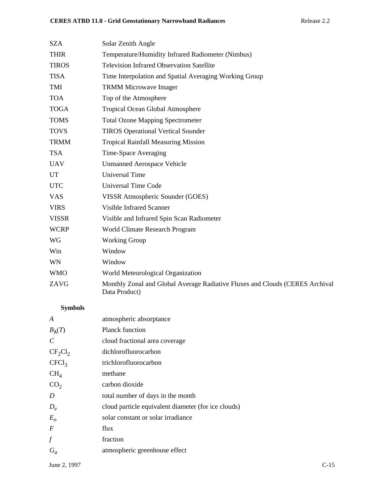| <b>SZA</b>   | Solar Zenith Angle                                                                            |
|--------------|-----------------------------------------------------------------------------------------------|
| <b>THIR</b>  | Temperature/Humidity Infrared Radiometer (Nimbus)                                             |
| <b>TIROS</b> | <b>Television Infrared Observation Satellite</b>                                              |
| <b>TISA</b>  | Time Interpolation and Spatial Averaging Working Group                                        |
| TMI          | <b>TRMM Microwave Imager</b>                                                                  |
| <b>TOA</b>   | Top of the Atmosphere                                                                         |
| <b>TOGA</b>  | <b>Tropical Ocean Global Atmosphere</b>                                                       |
| <b>TOMS</b>  | <b>Total Ozone Mapping Spectrometer</b>                                                       |
| <b>TOVS</b>  | <b>TIROS Operational Vertical Sounder</b>                                                     |
| <b>TRMM</b>  | <b>Tropical Rainfall Measuring Mission</b>                                                    |
| <b>TSA</b>   | Time-Space Averaging                                                                          |
| <b>UAV</b>   | <b>Unmanned Aerospace Vehicle</b>                                                             |
| <b>UT</b>    | <b>Universal Time</b>                                                                         |
| <b>UTC</b>   | <b>Universal Time Code</b>                                                                    |
| <b>VAS</b>   | VISSR Atmospheric Sounder (GOES)                                                              |
| <b>VIRS</b>  | <b>Visible Infrared Scanner</b>                                                               |
| <b>VISSR</b> | Visible and Infrared Spin Scan Radiometer                                                     |
| <b>WCRP</b>  | World Climate Research Program                                                                |
| WG           | <b>Working Group</b>                                                                          |
| Win          | Window                                                                                        |
| WN           | Window                                                                                        |
| <b>WMO</b>   | World Meteorological Organization                                                             |
| ZAVG         | Monthly Zonal and Global Average Radiative Fluxes and Clouds (CERES Archival<br>Data Product) |
|              |                                                                                               |

# **Symbols**

| A                 | atmospheric absorptance                             |
|-------------------|-----------------------------------------------------|
| $B_{\lambda}(T)$  | <b>Planck function</b>                              |
| $\mathcal{C}$     | cloud fractional area coverage                      |
| $CF_2Cl_2$        | dichlorofluorocarbon                                |
| CFCl <sub>3</sub> | trichlorofluorocarbon                               |
| CH <sub>4</sub>   | methane                                             |
| CO <sub>2</sub>   | carbon dioxide                                      |
| D                 | total number of days in the month                   |
| $D_e$             | cloud particle equivalent diameter (for ice clouds) |
| $E_{o}$           | solar constant or solar irradiance                  |
| $\boldsymbol{F}$  | flux                                                |
| $\int$            | fraction                                            |
| $G_a$             | atmospheric greenhouse effect                       |
|                   |                                                     |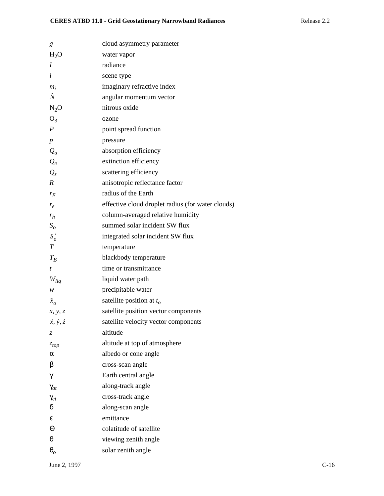| g                           | cloud asymmetry parameter                         |
|-----------------------------|---------------------------------------------------|
| $H_2O$                      | water vapor                                       |
| I                           | radiance                                          |
| $\dot{i}$                   | scene type                                        |
| $m_i$                       | imaginary refractive index                        |
| Ñ                           | angular momentum vector                           |
| $N_2O$                      | nitrous oxide                                     |
| $O_3$                       | ozone                                             |
| $\boldsymbol{P}$            | point spread function                             |
| $\boldsymbol{p}$            | pressure                                          |
| $Q_a$                       | absorption efficiency                             |
| $Q_e$                       | extinction efficiency                             |
| $Q_{s}$                     | scattering efficiency                             |
| R                           | anisotropic reflectance factor                    |
| $r_E$                       | radius of the Earth                               |
| $r_e$                       | effective cloud droplet radius (for water clouds) |
| $r_h$                       | column-averaged relative humidity                 |
| $S_{\rm o}$                 | summed solar incident SW flux                     |
| $S'_{o}$                    | integrated solar incident SW flux                 |
| $\boldsymbol{T}$            | temperature                                       |
| $T_B$                       | blackbody temperature                             |
| t                           | time or transmittance                             |
| $W_{liq}$                   | liquid water path                                 |
| w                           | precipitable water                                |
| $\hat{x}_o$                 | satellite position at $t_o$                       |
| x, y, z                     | satellite position vector components              |
| $\dot{x}, \dot{y}, \dot{z}$ | satellite velocity vector components              |
| Z.                          | altitude                                          |
| $z_{top}$                   | altitude at top of atmosphere                     |
| α                           | albedo or cone angle                              |
| β                           | cross-scan angle                                  |
| γ                           | Earth central angle                               |
| $\gamma_{at}$               | along-track angle                                 |
| $\gamma_{ct}$               | cross-track angle                                 |
| δ                           | along-scan angle                                  |
| ε                           | emittance                                         |
| Θ                           | colatitude of satellite                           |
| θ                           | viewing zenith angle                              |
| $\boldsymbol{\theta}_{o}$   | solar zenith angle                                |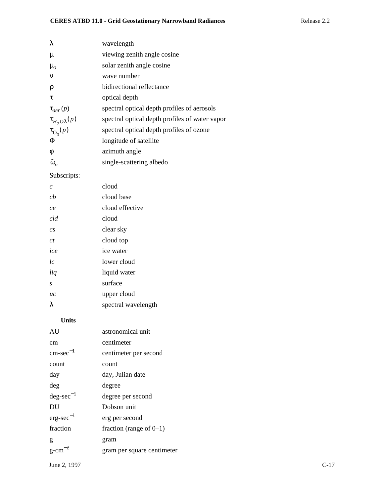| λ                       | wavelength                                     |
|-------------------------|------------------------------------------------|
| $\mu$                   | viewing zenith angle cosine                    |
| $\mu_{o}$               | solar zenith angle cosine                      |
| $\mathbf{v}$            | wave number                                    |
| ρ                       | bidirectional reflectance                      |
| τ                       | optical depth                                  |
| $\tau_{aer}(p)$         | spectral optical depth profiles of aerosols    |
| $\tau_{H_2O\lambda}(p)$ | spectral optical depth profiles of water vapor |
| $\tau_{\text{O}_3}(p)$  | spectral optical depth profiles of ozone       |
| Φ                       | longitude of satellite                         |
| φ                       | azimuth angle                                  |
| $\tilde{\omega}_o$      | single-scattering albedo                       |

# Subscripts:

| $\mathcal{C}$    | cloud               |
|------------------|---------------------|
| ch               | cloud base          |
| ce               | cloud effective     |
| cld              | cloud               |
| $\overline{c}$ s | clear sky           |
| Сt               | cloud top           |
| ice              | ice water           |
| lc               | lower cloud         |
| liq              | liquid water        |
| S                | surface             |
| uc               | upper cloud         |
| λ                | spectral wavelength |
|                  |                     |

# **Units**

| AU                    | astronomical unit          |
|-----------------------|----------------------------|
| cm                    | centimeter                 |
| $\text{cm-sec}^{-1}$  | centimeter per second      |
| count                 | count                      |
| day                   | day, Julian date           |
| deg                   | degree                     |
| $\text{deg-sec}^{-1}$ | degree per second          |
| DU                    | Dobson unit                |
| $erg\text{-}sec^{-1}$ | erg per second             |
| fraction              | fraction (range of $0-1$ ) |
| g                     | gram                       |
| $g$ -cm <sup>-2</sup> | gram per square centimeter |
|                       |                            |